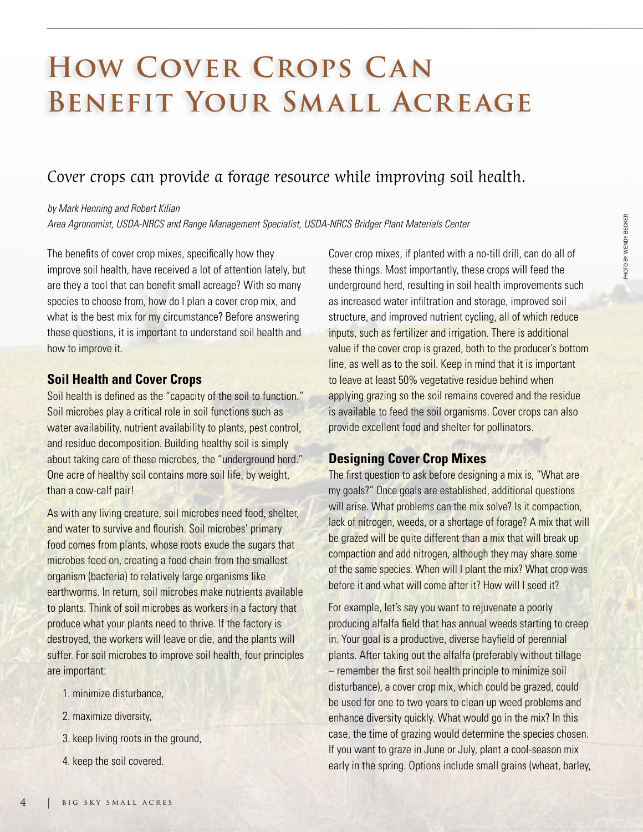# **HOW COVER CROPS CAN Benefit Your Small Acreage**

# Cover crops can provide a forage resource while improving soil health.

#### *by Mark Henning and Robert Kilian*

*Area Agronomist, USDA-NRCS and Range Management Specialist, USDA-NRCS Bridger Plant Materials Center*

The benefits of cover crop mixes, specifically how they improve soil health, have received a lot of attention lately, but are they a tool that can benefit small acreage? With so many species to choose from, how do I plan a cover crop mix, and what is the best mix for my circumstance? Before answering these questions, it is important to understand soil health and how to improve it.

### **Soil Health and Cover Crops**

Soil health is defined as the "capacity of the soil to function." Soil microbes play a critical role in soil functions such as water availability, nutrient availability to plants, pest control, and residue decomposition. Building healthy soil is simply about taking care of these microbes, the "underground herd." One acre of healthy soil contains more soil life, by weight, than a cow-calf pair!

As with any living creature, soil microbes need food, shelter, and water to survive and flourish. Soil microbes' primary food comes from plants, whose roots exude the sugars that microbes feed on, creating a food chain from the smallest organism (bacteria) to relatively large organisms like earthworms. In return, soil microbes make nutrients available to plants. Think of soil microbes as workers in a factory that produce what your plants need to thrive. If the factory is destroyed, the workers will leave or die, and the plants will suffer. For soil microbes to improve soil health, four principles are important:

- 1. minimize disturbance,
- 2. maximize diversity,
- 3. keep living roots in the ground,
- 4. keep the soil covered.

Cover crop mixes, if planted with a no-till drill, can do all of these things. Most importantly, these crops will feed the underground herd, resulting in soil health improvements such as increased water infiltration and storage, improved soil structure, and improved nutrient cycling, all of which reduce inputs, such as fertilizer and irrigation. There is additional value if the cover crop is grazed, both to the producer's bottom line, as well as to the soil. Keep in mind that it is important to leave at least 50% vegetative residue behind when applying grazing so the soil remains covered and the residue is available to feed the soil organisms. Cover crops can also provide excellent food and shelter for pollinators.

## **Designing Cover Crop Mixes**

The first question to ask before designing a mix is, "What are my goals?" Once goals are established, additional questions will arise. What problems can the mix solve? Is it compaction, lack of nitrogen, weeds, or a shortage of forage? A mix that will be grazed will be quite different than a mix that will break up compaction and add nitrogen, although they may share some of the same species. When will I plant the mix? What crop was before it and what will come after it? How will I seed it?

For example, let's say you want to rejuvenate a poorly producing alfalfa field that has annual weeds starting to creep in. Your goal is a productive, diverse hayfield of perennial plants. After taking out the alfalfa (preferably without tillage – remember the first soil health principle to minimize soil disturbance), a cover crop mix, which could be grazed, could be used for one to two years to clean up weed problems and enhance diversity quickly. What would go in the mix? In this case, the time of grazing would determine the species chosen. If you want to graze in June or July, plant a cool-season mix early in the spring. Options include small grains (wheat, barley, PHOTO BY WENDY BECKER

PHOTO BY WENDY BECKER